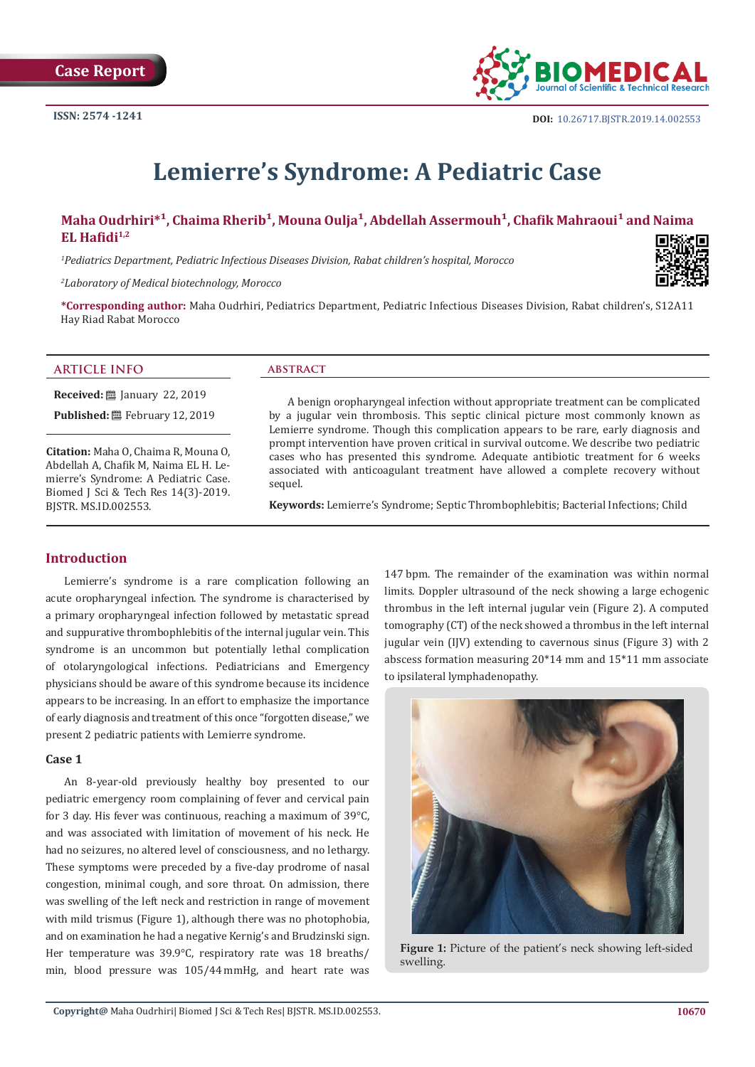

# **Lemierre's Syndrome: A Pediatric Case**

# Maha Oudrhiri<sup>\*1</sup>, Chaima Rherib<sup>1</sup>, Mouna Oulja<sup>1</sup>, Abdellah Assermouh<sup>1</sup>, Chafik Mahraoui<sup>1</sup> and Naima **EL Hafidi1,2**

*1 Pediatrics Department, Pediatric Infectious Diseases Division, Rabat children's hospital, Morocco*

*2 Laboratory of Medical biotechnology, Morocco*

**\*Corresponding author:** Maha Oudrhiri, Pediatrics Department, Pediatric Infectious Diseases Division, Rabat children's, S12A11 Hay Riad Rabat Morocco

## **ARTICLE INFO abstract**

**Received:** ■ January 22, 2019 Published: **■**February 12, 2019

**Citation:** Maha O, Chaima R, Mouna O, Abdellah A, Chafik M, Naima EL H. Lemierre's Syndrome: A Pediatric Case. Biomed J Sci & Tech Res 14(3)-2019. BJSTR. MS.ID.002553.

A benign oropharyngeal infection without appropriate treatment can be complicated by a jugular vein thrombosis. This septic clinical picture most commonly known as Lemierre syndrome. Though this complication appears to be rare, early diagnosis and prompt intervention have proven critical in survival outcome. We describe two pediatric cases who has presented this syndrome. Adequate antibiotic treatment for 6 weeks associated with anticoagulant treatment have allowed a complete recovery without sequel.

**Keywords:** Lemierre's Syndrome; Septic Thrombophlebitis; Bacterial Infections; Child

# **Introduction**

Lemierre's syndrome is a rare complication following an acute oropharyngeal infection. The syndrome is characterised by a primary oropharyngeal infection followed by metastatic spread and suppurative thrombophlebitis of the internal jugular vein. This syndrome is an uncommon but potentially lethal complication of otolaryngological infections. Pediatricians and Emergency physicians should be aware of this syndrome because its incidence appears to be increasing. In an effort to emphasize the importance of early diagnosis and treatment of this once "forgotten disease," we present 2 pediatric patients with Lemierre syndrome.

## **Case 1**

An 8-year-old previously healthy boy presented to our pediatric emergency room complaining of fever and cervical pain for 3 day. His fever was continuous, reaching a maximum of 39°C, and was associated with limitation of movement of his neck. He had no seizures, no altered level of consciousness, and no lethargy. These symptoms were preceded by a five-day prodrome of nasal congestion, minimal cough, and sore throat. On admission, there was swelling of the left neck and restriction in range of movement with mild trismus (Figure 1), although there was no photophobia, and on examination he had a negative Kernig's and Brudzinski sign. Her temperature was 39.9°C, respiratory rate was 18 breaths/ min, blood pressure was 105/44 mmHg, and heart rate was 147 bpm. The remainder of the examination was within normal limits. Doppler ultrasound of the neck showing a large echogenic thrombus in the left internal jugular vein (Figure 2). A computed tomography (CT) of the neck showed a thrombus in the left internal jugular vein (IJV) extending to cavernous sinus (Figure 3) with 2 abscess formation measuring 20\*14 mm and 15\*11 mm associate to ipsilateral lymphadenopathy.



Figure 1: Picture of the patient's neck showing left-sided swelling.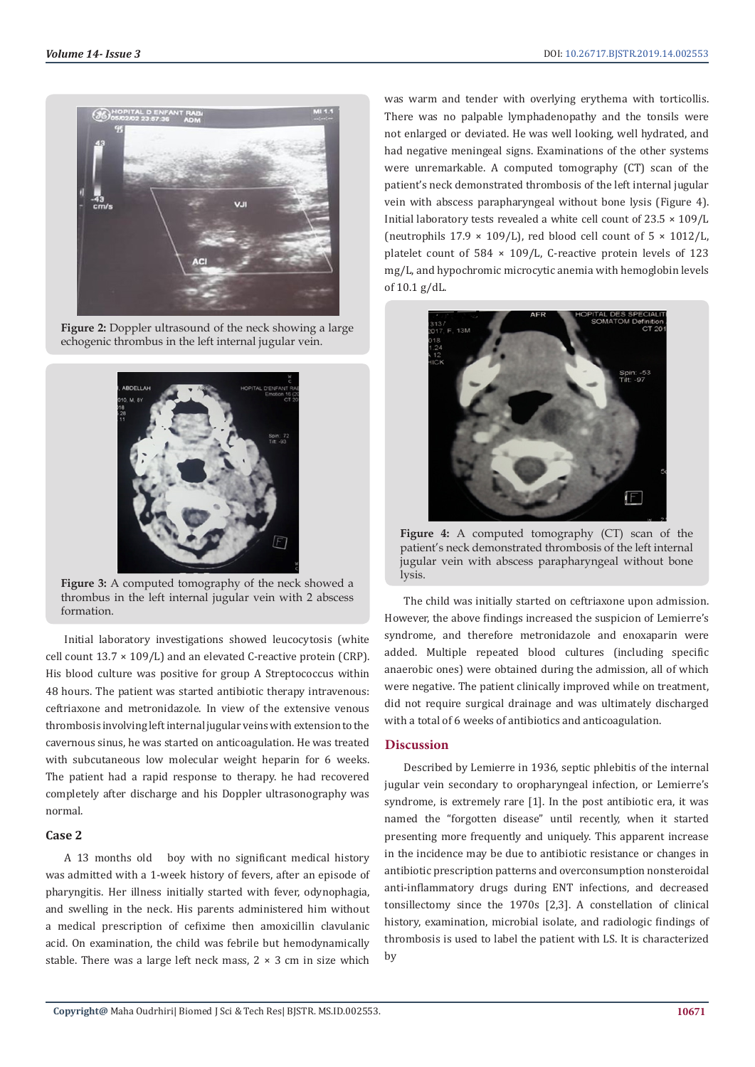

**Figure 2:** Doppler ultrasound of the neck showing a large echogenic thrombus in the left internal jugular vein.



**Figure 3:** A computed tomography of the neck showed a thrombus in the left internal jugular vein with 2 abscess formation.

Initial laboratory investigations showed leucocytosis (white cell count  $13.7 \times 109/L$ ) and an elevated C-reactive protein (CRP). His blood culture was positive for group A Streptococcus within 48 hours. The patient was started antibiotic therapy intravenous: ceftriaxone and metronidazole. In view of the extensive venous thrombosis involving left internal jugular veins with extension to the cavernous sinus, he was started on anticoagulation. He was treated with subcutaneous low molecular weight heparin for 6 weeks. The patient had a rapid response to therapy. he had recovered completely after discharge and his Doppler ultrasonography was normal.

## **Case 2**

A 13 months old boy with no significant medical history was admitted with a 1-week history of fevers, after an episode of pharyngitis. Her illness initially started with fever, odynophagia, and swelling in the neck. His parents administered him without a medical prescription of cefixime then amoxicillin clavulanic acid. On examination, the child was febrile but hemodynamically stable. There was a large left neck mass,  $2 \times 3$  cm in size which

was warm and tender with overlying erythema with torticollis. There was no palpable lymphadenopathy and the tonsils were not enlarged or deviated. He was well looking, well hydrated, and had negative meningeal signs. Examinations of the other systems were unremarkable. A computed tomography (CT) scan of the patient's neck demonstrated thrombosis of the left internal jugular vein with abscess parapharyngeal without bone lysis (Figure 4). Initial laboratory tests revealed a white cell count of  $23.5 \times 109/L$ (neutrophils  $17.9 \times 109/L$ ), red blood cell count of  $5 \times 1012/L$ , platelet count of 584  $\times$  109/L, C-reactive protein levels of 123 mg/L, and hypochromic microcytic anemia with hemoglobin levels of 10.1 g/dL.



**Figure 4:** A computed tomography (CT) scan of the patient's neck demonstrated thrombosis of the left internal jugular vein with abscess parapharyngeal without bone lysis.

The child was initially started on ceftriaxone upon admission. However, the above findings increased the suspicion of Lemierre's syndrome, and therefore metronidazole and enoxaparin were added. Multiple repeated blood cultures (including specific anaerobic ones) were obtained during the admission, all of which were negative. The patient clinically improved while on treatment, did not require surgical drainage and was ultimately discharged with a total of 6 weeks of antibiotics and anticoagulation.

# **Discussion**

Described by Lemierre in 1936, septic phlebitis of the internal jugular vein secondary to oropharyngeal infection, or Lemierre's syndrome, is extremely rare [1]. In the post antibiotic era, it was named the "forgotten disease" until recently, when it started presenting more frequently and uniquely. This apparent increase in the incidence may be due to antibiotic resistance or changes in antibiotic prescription patterns and overconsumption nonsteroidal anti-inflammatory drugs during ENT infections, and decreased tonsillectomy since the 1970s [2,3]. A constellation of clinical history, examination, microbial isolate, and radiologic findings of thrombosis is used to label the patient with LS. It is characterized by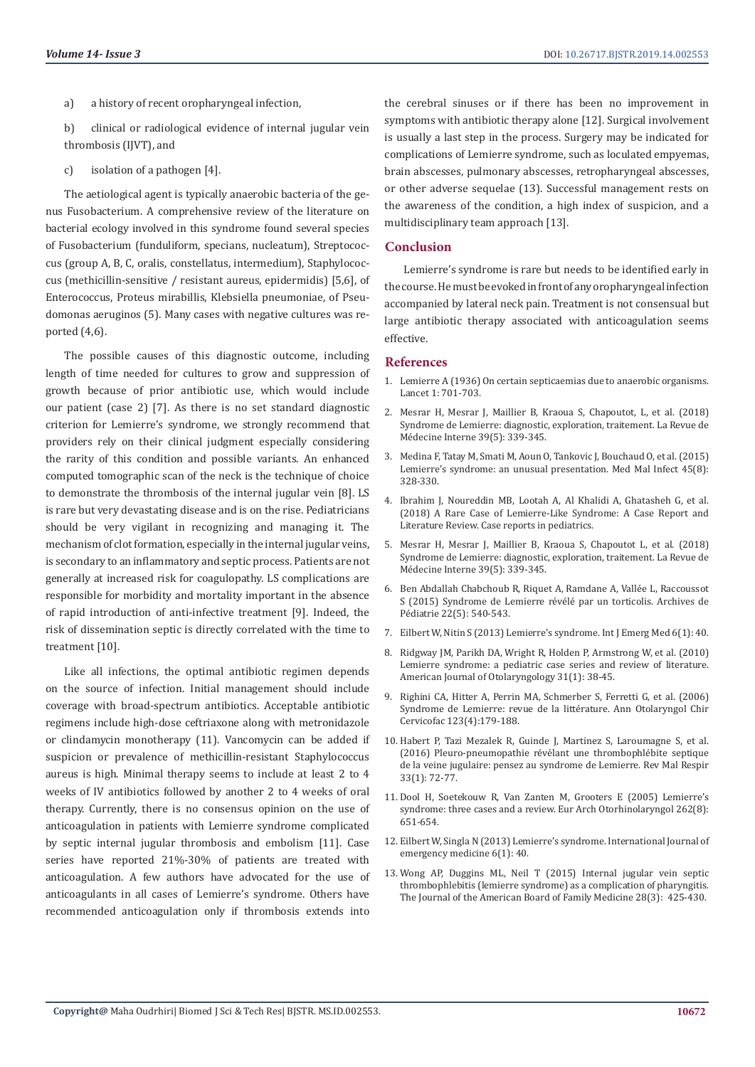a) a history of recent oropharyngeal infection,

b) clinical or radiological evidence of internal jugular vein thrombosis (IJVT), and

c) isolation of a pathogen [4].

The aetiological agent is typically anaerobic bacteria of the genus Fusobacterium. A comprehensive review of the literature on bacterial ecology involved in this syndrome found several species of Fusobacterium (funduliform, specians, nucleatum), Streptococcus (group A, B, C, oralis, constellatus, intermedium), Staphylococcus (methicillin-sensitive / resistant aureus, epidermidis) [5,6], of Enterococcus, Proteus mirabillis, Klebsiella pneumoniae, of Pseudomonas aeruginos (5). Many cases with negative cultures was reported (4,6).

The possible causes of this diagnostic outcome, including length of time needed for cultures to grow and suppression of growth because of prior antibiotic use, which would include our patient (case 2) [7]. As there is no set standard diagnostic criterion for Lemierre's syndrome, we strongly recommend that providers rely on their clinical judgment especially considering the rarity of this condition and possible variants. An enhanced computed tomographic scan of the neck is the technique of choice to demonstrate the thrombosis of the internal jugular vein [8]. LS is rare but very devastating disease and is on the rise. Pediatricians should be very vigilant in recognizing and managing it. The mechanism of clot formation, especially in the internal jugular veins, is secondary to an inflammatory and septic process. Patients are not generally at increased risk for coagulopathy. LS complications are responsible for morbidity and mortality important in the absence of rapid introduction of anti-infective treatment [9]. Indeed, the risk of dissemination septic is directly correlated with the time to treatment [10].

Like all infections, the optimal antibiotic regimen depends on the source of infection. Initial management should include coverage with broad-spectrum antibiotics. Acceptable antibiotic regimens include high-dose ceftriaxone along with metronidazole or clindamycin monotherapy (11). Vancomycin can be added if suspicion or prevalence of methicillin-resistant Staphylococcus aureus is high. Minimal therapy seems to include at least 2 to 4 weeks of IV antibiotics followed by another 2 to 4 weeks of oral therapy. Currently, there is no consensus opinion on the use of anticoagulation in patients with Lemierre syndrome complicated by septic internal jugular thrombosis and embolism [11]. Case series have reported 21%-30% of patients are treated with anticoagulation. A few authors have advocated for the use of anticoagulants in all cases of Lemierre's syndrome. Others have recommended anticoagulation only if thrombosis extends into

the cerebral sinuses or if there has been no improvement in symptoms with antibiotic therapy alone [12]. Surgical involvement is usually a last step in the process. Surgery may be indicated for complications of Lemierre syndrome, such as loculated empyemas, brain abscesses, pulmonary abscesses, retropharyngeal abscesses, or other adverse sequelae (13). Successful management rests on the awareness of the condition, a high index of suspicion, and a multidisciplinary team approach [13].

#### **Conclusion**

Lemierre's syndrome is rare but needs to be identified early in the course. He must be evoked in front of any oropharyngeal infection accompanied by lateral neck pain. Treatment is not consensual but large antibiotic therapy associated with anticoagulation seems effective.

#### **References**

- 1. [Lemierre A \(1936\) On certain septicaemias due to anaerobic organisms.](https://www.scirp.org/(S(351jmbntvnsjt1aadkposzje))/reference/ReferencesPapers.aspx?ReferenceID=1681765) [Lancet 1: 701-703.](https://www.scirp.org/(S(351jmbntvnsjt1aadkposzje))/reference/ReferencesPapers.aspx?ReferenceID=1681765)
- 2. [Mesrar H, Mesrar J, Maillier B, Kraoua S, Chapoutot, L, et al. \(2018\)](https://www.sciencedirect.com/science/article/pii/S0248866317311773) [Syndrome de Lemierre: diagnostic, exploration, traitement. La Revue de](https://www.sciencedirect.com/science/article/pii/S0248866317311773) [Médecine Interne 39\(5\): 339-345.](https://www.sciencedirect.com/science/article/pii/S0248866317311773)
- 3. [Medina F, Tatay M, Smati M, Aoun O, Tankovic J, Bouchaud O, et al. \(2015\)](https://www.ncbi.nlm.nih.gov/pubmed/26117663) [Lemierre's syndrome: an unusual presentation. Med Mal Infect 45\(8\):](https://www.ncbi.nlm.nih.gov/pubmed/26117663) [328-330.](https://www.ncbi.nlm.nih.gov/pubmed/26117663)
- 4. [Ibrahim J, Noureddin MB, Lootah A, Al Khalidi A, Ghatasheh G, et al.](https://www.ncbi.nlm.nih.gov/pubmed/29808152) [\(2018\) A Rare Case of Lemierre-Like Syndrome: A Case Report and](https://www.ncbi.nlm.nih.gov/pubmed/29808152) [Literature Review. Case reports in pediatrics.](https://www.ncbi.nlm.nih.gov/pubmed/29808152)
- 5. [Mesrar H, Mesrar J, Maillier B, Kraoua S, Chapoutot L, et al. \(2018\)](https://www.sciencedirect.com/science/article/pii/S0248866317311773) [Syndrome de Lemierre: diagnostic, exploration, traitement. La Revue de](https://www.sciencedirect.com/science/article/pii/S0248866317311773) [Médecine Interne 39\(5\): 339-345.](https://www.sciencedirect.com/science/article/pii/S0248866317311773)
- 6. [Ben Abdallah Chabchoub R, Riquet A, Ramdane A, Vallée L, Raccoussot](https://www.sciencedirect.com/science/article/pii/S0929693X15000809) [S \(2015\) Syndrome de Lemierre révélé par un torticolis. Archives de](https://www.sciencedirect.com/science/article/pii/S0929693X15000809) [Pédiatrie 22\(5\): 540-543.](https://www.sciencedirect.com/science/article/pii/S0929693X15000809)
- 7. [Eilbert W, Nitin S \(2013\) Lemierre's syndrome. Int J Emerg Med 6\(1\): 40.](https://www.ncbi.nlm.nih.gov/pmc/articles/PMC4015694/)
- 8. [Ridgway JM, Parikh DA, Wright R, Holden P, Armstrong W, et al. \(2010\)](https://www.ncbi.nlm.nih.gov/pubmed/19944898) [Lemierre syndrome: a pediatric case series and review of literature.](https://www.ncbi.nlm.nih.gov/pubmed/19944898) [American Journal of Otolaryngology 31\(1\): 38-45.](https://www.ncbi.nlm.nih.gov/pubmed/19944898)
- 9. [Righini CA, Hitter A, Perrin MA, Schmerber S, Ferretti G, et al. \(2006\)](https://www.sciencedirect.com/science/article/pii/S0003438X06766634) [Syndrome de Lemierre: revue de la littérature. Ann Otolaryngol Chir](https://www.sciencedirect.com/science/article/pii/S0003438X06766634) [Cervicofac 123\(4\):179-188.](https://www.sciencedirect.com/science/article/pii/S0003438X06766634)
- 10. [Habert P, Tazi Mezalek R, Guinde J, Martinez S, Laroumagne S, et al.](https://www.sciencedirect.com/science/article/pii/S0761842515002259) [\(2016\) Pleuro-pneumopathie révélant une thrombophlébite septique](https://www.sciencedirect.com/science/article/pii/S0761842515002259) [de la veine jugulaire: pensez au syndrome de Lemierre. Rev Mal Respir](https://www.sciencedirect.com/science/article/pii/S0761842515002259) [33\(1\): 72-77.](https://www.sciencedirect.com/science/article/pii/S0761842515002259)
- 11. [Dool H, Soetekouw R, Van Zanten M, Grooters E \(2005\) Lemierre's](https://www.ncbi.nlm.nih.gov/pubmed/15599753) [syndrome: three cases and a review. Eur Arch Otorhinolaryngol 262\(8\):](https://www.ncbi.nlm.nih.gov/pubmed/15599753) [651-654.](https://www.ncbi.nlm.nih.gov/pubmed/15599753)
- 12. [Eilbert W, Singla N \(2013\) Lemierre's syndrome. International Journal of](https://www.ncbi.nlm.nih.gov/pmc/articles/PMC4015694/) [emergency medicine 6\(1\): 40.](https://www.ncbi.nlm.nih.gov/pmc/articles/PMC4015694/)
- 13. [Wong AP, Duggins ML, Neil T \(2015\) Internal jugular vein septic](https://www.ncbi.nlm.nih.gov/pubmed/25957375) [thrombophlebitis \(lemierre syndrome\) as a complication of pharyngitis.](https://www.ncbi.nlm.nih.gov/pubmed/25957375) [The Journal of the American Board of Family Medicine 28\(3\): 425-430.](https://www.ncbi.nlm.nih.gov/pubmed/25957375)